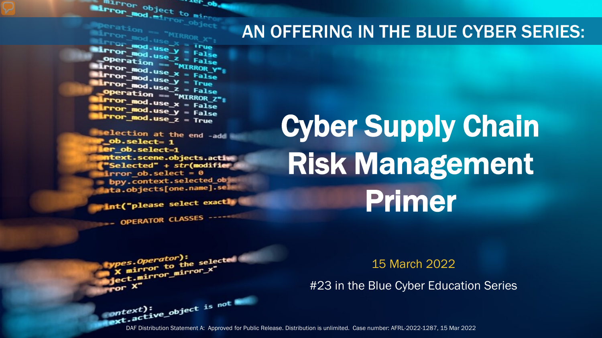**Surror object to minimum Error** object to mine ...er\_ob.

**Mirror\_mod.use\_x = True**<br>Mirror\_mod.use\_x = True<br>Mirror\_mod.use\_x = True  $\begin{array}{rcl} \text{USE} & \text{HMOR} \ \text{ITPor} & \text{mod} \cdot \text{Use} \ \text{ITPor} & \text{mod} \cdot \text{Use} \ \text{ITPor} & \text{mod} \cdot \text{Use} \ \text{ITPor} & \text{mod} \cdot \text{Use} \ \text{ITPor} & \text{in} \ \text{OPR} \end{array}$ **Example:** at 10n == "MIRROR Y"<br>**Example:** mod.use\_x = False<br>**Example:** mod.use\_v = False  $\frac{mod \cdot use_x}{irror\_mod \cdot use_x} = False$  $\frac{1}{2}$  From  $\frac{\text{mod use } y}{1 - \text{mod use } z}$  = Frue **Operation == "MIRROR\_Z":**<br><u>Letter mod.use : "MIRROR\_Z</u>"; **The Structure of The Structure 1996**<br>**The Moduse X** = False  $k$  Pror\_mod.use\_ $x = False$ <br> $k$  Pror\_mod.use\_ $y = False$  $Irror_modeluse_y = False$ <br> $Irror_modeluse_z = True$ 

election at the end -add \_ob.select= 1 er\_ob.select=1 ntext.scene.objects.activ "Selected" + str(modifier irror ob. select =  $0$ bpy.context.selected\_ob ata.objects[one.name].sel

int("please select exactly

*pes.Operator*):<br>X mirror to the selected<br>X mirror mirror\_x"

OPERATOR CLASSES ----

pes.Operator):<br>http://www.to

x mirror to the strain and the strain and the strain and the strain of the strain of the strain and the strain of the strain of the strain of the strain of the strain of the strain of the strain strain and the strain strai

### AN OFFERING IN THE BLUE CYBER SERIES:

# Cyber Supply Chain Risk Management Primer

15 March 2022

#23 in the Blue Cyber Education Series

DAF Distribution Statement A: Approved for Public Release. Distribution is unlimited. Case number: AFRL-2022-1287, 15 Mar 2022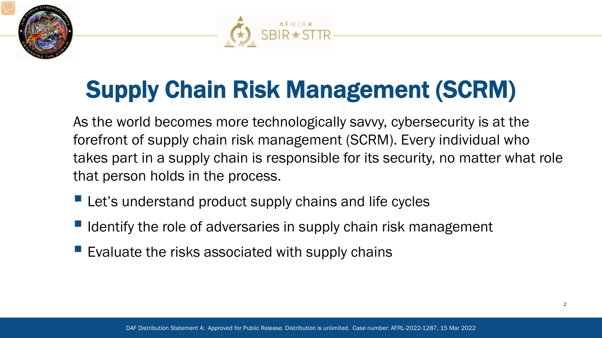



# Supply Chain Risk Management (SCRM)

As the world becomes more technologically savvy, cybersecurity is at the forefront of supply chain risk management (SCRM). Every individual who takes part in a supply chain is responsible for its security, no matter what role that person holds in the process.

- **Let's understand product supply chains and life cycles**
- $\blacksquare$  Identify the role of adversaries in supply chain risk management
- Evaluate the risks associated with supply chains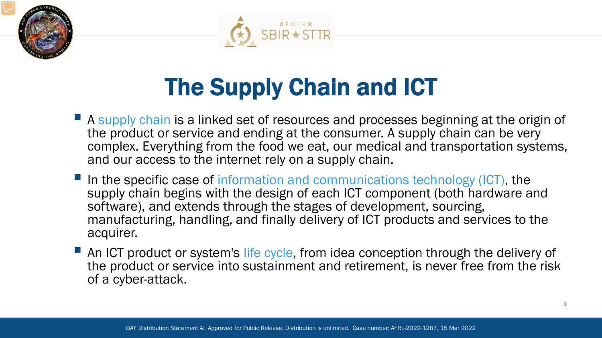



# The Supply Chain and ICT

- **A** supply chain is a linked set of resources and processes beginning at the origin of the product or service and ending at the consumer. A supply chain can be very complex. Everything from the food we eat, our medical and transportation systems, and our access to the internet rely on a supply chain.
- In the specific case of information and communications technology (ICT), the supply chain begins with the design of each ICT component (both hardware and software), and extends through the stages of development, sourcing, manufacturing, handling, and finally delivery of ICT products and services to the acquirer.
- An ICT product or system's life cycle, from idea conception through the delivery of the product or service into sustainment and retirement, is never free from the risk of a cyber-attack.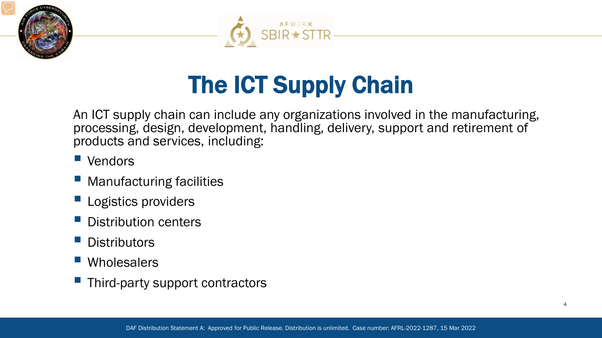



## The ICT Supply Chain

An ICT supply chain can include any organizations involved in the manufacturing, processing, design, development, handling, delivery, support and retirement of products and services, including:

- **Vendors**
- Manufacturing facilities
- **Logistics providers**
- Distribution centers
- **Distributors**
- **Wholesalers**
- $\blacksquare$  Third-party support contractors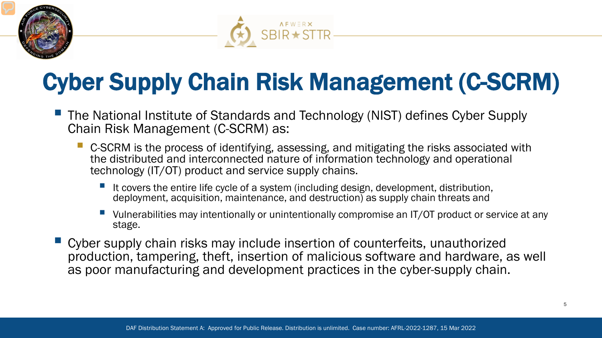



## Cyber Supply Chain Risk Management (C-SCRM)

- **The National Institute of Standards and Technology (NIST) defines Cyber Supply** Chain Risk Management (C-SCRM) as:
	- C-SCRM is the process of identifying, assessing, and mitigating the risks associated with the distributed and interconnected nature of information technology and operational technology (IT/OT) product and service supply chains.
		- It covers the entire life cycle of a system (including design, development, distribution, deployment, acquisition, maintenance, and destruction) as supply chain threats and
		- Vulnerabilities may intentionally or unintentionally compromise an IT/OT product or service at any stage.
- Cyber supply chain risks may include insertion of counterfeits, unauthorized production, tampering, theft, insertion of malicious software and hardware, as well as poor manufacturing and development practices in the cyber-supply chain.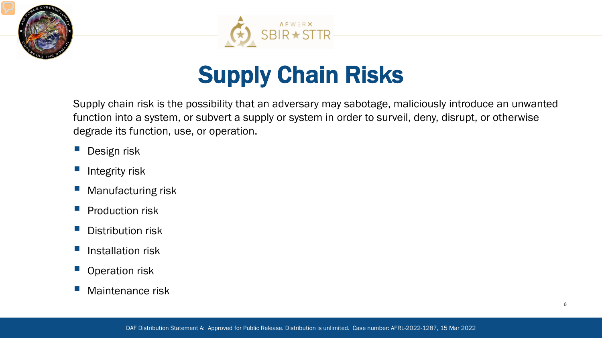



## Supply Chain Risks

Supply chain risk is the possibility that an adversary may sabotage, maliciously introduce an unwanted function into a system, or subvert a supply or system in order to surveil, deny, disrupt, or otherwise degrade its function, use, or operation.

- **Design risk**
- Integrity risk
- Manufacturing risk
- Production risk
- Distribution risk
- **Installation risk**
- Operation risk
- Maintenance risk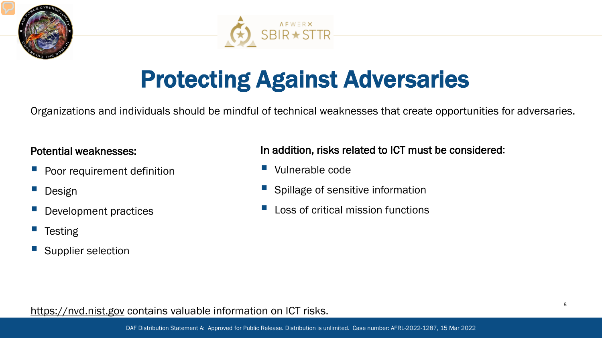



## Protecting Against Adversaries

Organizations and individuals should be mindful of technical weaknesses that create opportunities for adversaries.

### Potential weaknesses:

- Poor requirement definition
- Design
- Development practices
- **Testing**
- Supplier selection

In addition, risks related to ICT must be considered:

- Vulnerable code
- Spillage of sensitive information
- Loss of critical mission functions

### https://nvd.nist.gov contains valuable information on ICT risks.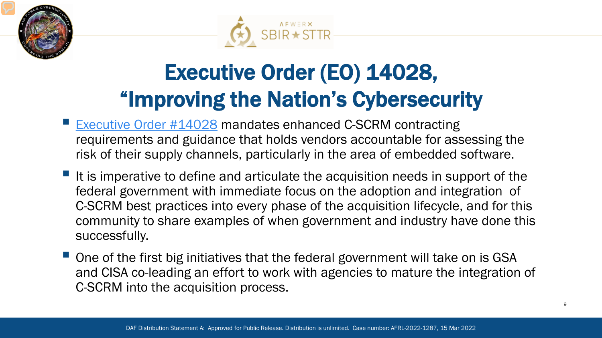



## Executive Order (EO) 14028, "Improving the Nation's Cybersecurity

- [Executive Order #14028](https://www.federalregister.gov/documents/2021/05/17/2021-10460/improving-the-nations-cybersecurity) mandates enhanced C-SCRM contracting requirements and guidance that holds vendors accountable for assessing the risk of their supply channels, particularly in the area of embedded software.
- It is imperative to define and articulate the acquisition needs in support of the federal government with immediate focus on the adoption and integration of C-SCRM best practices into every phase of the acquisition lifecycle, and for this community to share examples of when government and industry have done this successfully.
- One of the first big initiatives that the federal government will take on is GSA and CISA co-leading an effort to work with agencies to mature the integration of C-SCRM into the acquisition process.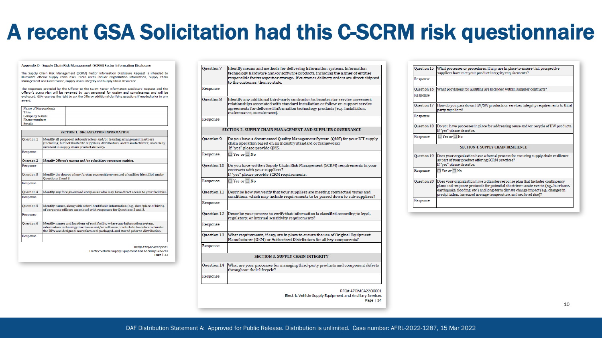## A recent GSA Solicitation had this C-SCRM risk questionnaire

#### Appendix D - Supply Chain Risk Management (SCRM) Factor Information Disclosure

The Supply Chain Risk Management (SCRM) Factor Information Disclosure Request is intended to illuminate offeror supply chain risks. Focus areas include Organization Information, Supply Chain Management and Governance, Supply Chain Integrity and Supply Chain Resilience.

The responses provided by the Offeror to the SCRM Factor Information Disclosure Request and the Offeror's SCRM Plan will be reviewed by GSA personnel for quality and completeness and will be evaluated. GSA reserves the right to ask the Offeror additional clarifying questions if needed prior to any award.

| Name of Respondent: |  |
|---------------------|--|
| Title:              |  |
| Company Name:       |  |
| Phone number:       |  |
| Email               |  |

| <b>SECTION 1. ORGANIZATION INFORMATION</b> |                                                                                                                                                                                                                                                  |
|--------------------------------------------|--------------------------------------------------------------------------------------------------------------------------------------------------------------------------------------------------------------------------------------------------|
| Question 1                                 | Identify all proposed subcontractors and/or teaming arrangement partners<br>(including, but not limited to suppliers, distributors, and manufacturers) materially<br>involved in supply chain product delivery.                                  |
| Response                                   |                                                                                                                                                                                                                                                  |
| Question 2                                 | Identify Offeror's parent and/or subsidiary corporate entities.                                                                                                                                                                                  |
| Response                                   |                                                                                                                                                                                                                                                  |
| Ouestion 3                                 | Identify the degree of any foreign ownership or control of entities identified under<br>Ouestions 2 and 3.                                                                                                                                       |
| Response                                   |                                                                                                                                                                                                                                                  |
| <b>Ouestion 4</b>                          | Identify any foreign-owned companies who may have direct access to your facilities.                                                                                                                                                              |
| Response                                   |                                                                                                                                                                                                                                                  |
| Question 5                                 | Identify names, along with other identifiable information (e.g., date/place of birth),<br>of corporate officers associated with responses for Questions 2 and 3.                                                                                 |
| Response                                   |                                                                                                                                                                                                                                                  |
| Question 6                                 | Identify names and locations of each facility where any information system,<br>information technology hardware and/or software products to be delivered under<br>the BPA was designed, manufactured, packaged, and stored prior to distribution. |
| Response                                   |                                                                                                                                                                                                                                                  |

RFQ#47QMCA22Q0001 Electric Vehicle Supply Equipment and Ancillary Services Page | 33

Ouestion 7 Identify means and methods for delivering information systems, information technology hardware and/or software products, including the names of entities responsible for transport or storage. If customer delivery orders are direct-shipped to the customer, then so state. Response Ouestion 8 Identify any additional third-party contractor/subcontractor service agreement relationships associated with standard installation or follow-on support service agreements for delivered information technology products (e.g., installation, maintenance, sustainment). Response SECTION 2. SUPPLY CHAIN MANAGEMENT AND SUPPLIER GOVERNANCE Ouestion 9 Do you have a documented Ouality Management System (OMS) for your ICT supply chain operation based on an industry standard or framework? If "yes" please provide QMS. Response  $\Box$  Yes or  $\Box$  No Question 10 | Do you have written Supply Chain Risk Management (SCRM) requirements in your contracts with your suppliers? If "yes" please provide SCRM requirements. Response  $\square$  Yes or  $\square$  No Ouestion 11 Describe how you verify that your suppliers are meeting contractual terms and conditions, which may include requirements to be passed down to sub-suppliers? Response Ouestion 12 Describe your process to verify that information is classified according to legal, regulatory, or internal sensitivity requirements? Response What requirements, if any, are in place to ensure the use of Original Equipment Question 13 Manufacturer (OEM) or Authorized Distributors for all key components? Response **SECTION 3. SUPPLY CHAIN INTEGRITY** Question 14 What are your processes for managing third-party products and component defects throughout their lifecycle? Response RFQ#47QMCA22Q0001 Electric Vehicle Supply Equipment and Ancillary Services

| Ouestion 15 | What processes or procedures, if any, are in place to ensure that prospective<br>suppliers have met your product integrity requirements?                                                                                                                                                                                          |
|-------------|-----------------------------------------------------------------------------------------------------------------------------------------------------------------------------------------------------------------------------------------------------------------------------------------------------------------------------------|
| Response    |                                                                                                                                                                                                                                                                                                                                   |
| Question 16 | What provisions for auditing are included within supplier contracts?                                                                                                                                                                                                                                                              |
| Response    |                                                                                                                                                                                                                                                                                                                                   |
| Question 17 | How do you pass down HW/SW products or services integrity requirements to third<br>party suppliers?                                                                                                                                                                                                                               |
| Response    |                                                                                                                                                                                                                                                                                                                                   |
| Ouestion 18 | Do you have processes in place for addressing reuse and/or recycle of HW products.<br>If "ves" please describe.                                                                                                                                                                                                                   |
| Response    | $\Box$ Yes or $\Box$ No                                                                                                                                                                                                                                                                                                           |
|             | <b>SECTION 4. SUPPLY CHAIN RESILIENCE</b>                                                                                                                                                                                                                                                                                         |
| Question 19 | Does your organization have a formal process for ensuring supply chain resilience<br>as part of your product offering SCRM practices?<br>If "ves" please describe.                                                                                                                                                                |
| Response    | $\Box$ Yes or $\Box$ No                                                                                                                                                                                                                                                                                                           |
| Question 20 | Does your organization have a disaster response plan that includes contingency<br>plans and response protocols for potential short-term acute events (e.g., hurricane,<br>earthquake, flooding, etc.) and long-term climate change impact (e.g., changes in<br>precipitation, increased average temperature, and sea level rise)? |
|             |                                                                                                                                                                                                                                                                                                                                   |

Page | 34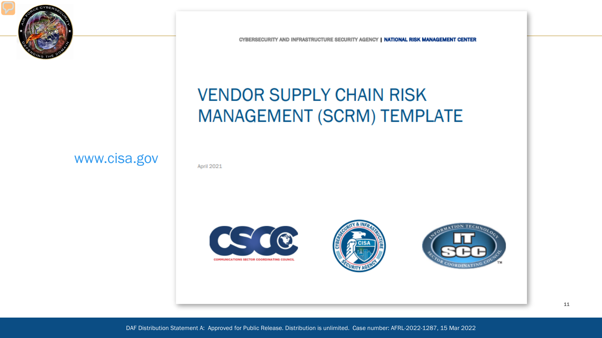

CYBERSECURITY AND INFRASTRUCTURE SECURITY AGENCY | NATIONAL RISK MANAGEMENT CENTER

### **VENDOR SUPPLY CHAIN RISK MANAGEMENT (SCRM) TEMPLATE**

April 2021

www.cisa.gov





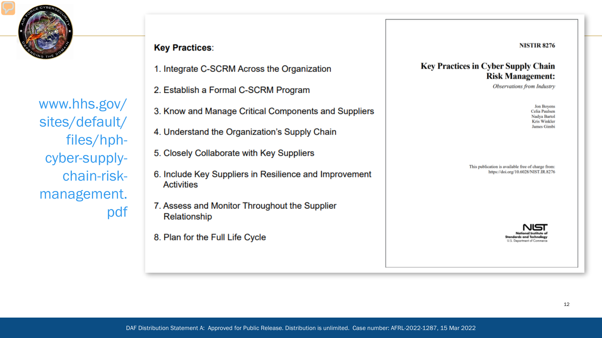

www.hhs.gov/ sites/default/ files/hphcyber-supplychain-riskmanagement. pdf

#### **Key Practices:**

- 1. Integrate C-SCRM Across the Organization
- 2. Establish a Formal C-SCRM Program
- 3. Know and Manage Critical Components and Suppliers
- 4. Understand the Organization's Supply Chain
- 5. Closely Collaborate with Key Suppliers
- 6. Include Key Suppliers in Resilience and Improvement **Activities**
- 7. Assess and Monitor Throughout the Supplier Relationship
- 8. Plan for the Full Life Cycle

**NISTIR 8276** 

#### **Key Practices in Cyber Supply Chain Risk Management:**

**Observations from Industry** 

Jon Boyens Celia Paulsen Nadya Bartol **Kris Winkler** James Gimb

This publication is available free of charge from: https://doi.org/10.6028/NIST.IR.8276

U.S. Department of Commer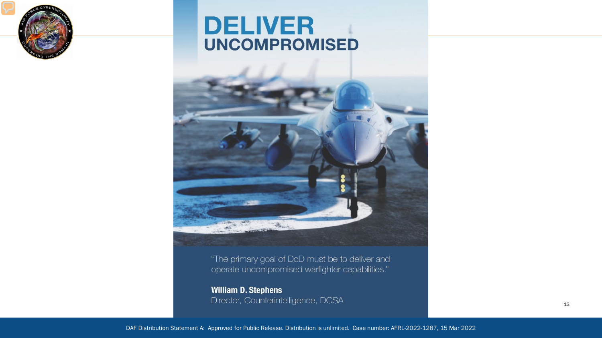

### **DELIVER UNCOMPROMISED**



"The primary goal of DcD must be to deliver and operate uncompromised warfighter capabilities."

**William D. Stephens** Director, Counterintelligence, DCSA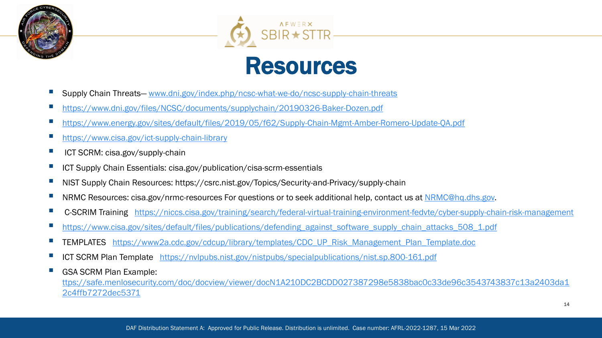



## Resources

- Supply Chain Threats— [www.dni.gov/index.php/ncsc-what-we-do/ncsc-supply-chain-threats](http://www.dni.gov/index.php/ncsc-what-we-do/ncsc-supply-chain-threats)
- <https://www.dni.gov/files/NCSC/documents/supplychain/20190326-Baker-Dozen.pdf>
- <https://www.energy.gov/sites/default/files/2019/05/f62/Supply-Chain-Mgmt-Amber-Romero-Update-QA.pdf>
- <https://www.cisa.gov/ict-supply-chain-library>
- ICT SCRM: cisa.gov/supply-chain
- ICT Supply Chain Essentials: cisa.gov/publication/cisa-scrm-essentials
- NIST Supply Chain Resources: https://csrc.nist.gov/Topics/Security-and-Privacy/supply-chain
- NRMC Resources: cisa.gov/nrmc-resources For questions or to seek additional help, contact us at [NRMC@hq.dhs.gov.](mailto:NRMC@hq.dhs.gov)
- C-SCRIM Training <https://niccs.cisa.gov/training/search/federal-virtual-training-environment-fedvte/cyber-supply-chain-risk-management>
- https://www.cisa.gov/sites/default/files/publications/defending against software supply chain attacks 508 1.pdf
- TEMPLATES [https://www2a.cdc.gov/cdcup/library/templates/CDC\\_UP\\_Risk\\_Management\\_Plan\\_Template.doc](https://www2a.cdc.gov/cdcup/library/templates/CDC_UP_Risk_Management_Plan_Template.doc)
- ICT SCRM Plan Template <https://nvlpubs.nist.gov/nistpubs/specialpublications/nist.sp.800-161.pdf>
- GSA SCRM Plan Example:

[ttps://safe.menlosecurity.com/doc/docview/viewer/docN1A210DC2BCDD027387298e5838bac0c33de96c3543743837c13a2403da1](https://safe.menlosecurity.com/doc/docview/viewer/docN1A210DC2BCDD027387298e5838bac0c33de96c3543743837c13a2403da12c4ffb7272dec5371) 2c4ffb7272dec5371